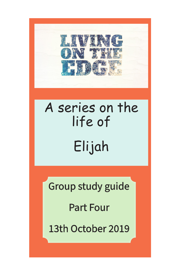

# A series on the life of Elijah

Group study guide

Part Four

13th October 2019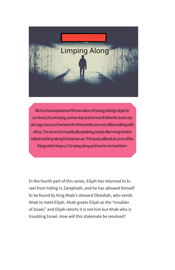

All of us have experienced the sensation of having a foreign object in our shoes, it is annoying, and we stop and remove it before it causes any damage, because if we leave it in there pretty soon we will be walking with a limp. The same is true spiritually speaking, except often we ignore the irritant and limp along the best we can. This study will look at some of the things which keep us "Limping along and how to remove them

In the fourth part of this series, Elijah has returned to Israel from hiding in Zarephath, and he has allowed himself to be found by King Ahab's steward Obaidiah, who sends Ahab to meet Elijah. Ahab greets Elijah as the "troubler of Israel," and Elijah retorts it is not him but Ahab who is troubling Israel. How will this stalemate be resolved?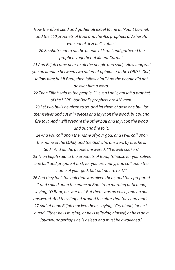*Now therefore send and gather all Israel to me at Mount Carmel, and the 450 prophets of Baal and the 400 prophets of Asherah, who eat at Jezebel's table."*

 *20 So Ahab sent to all the people of Israel and gathered the prophets together at Mount Carmel.*

 *21 And Elijah came near to all the people and said, "How long will you go limping between two different opinions? If the LORD is God, follow him; but if Baal, then follow him." And the people did not answer him a word.*

 *22 Then Elijah said to the people, "I, even I only, am left a prophet of the LORD, but Baal's prophets are 450 men.*

 *23 Let two bulls be given to us, and let them choose one bull for themselves and cut it in pieces and lay it on the wood, but put no fire to it. And I will prepare the other bull and lay it on the wood and put no fire to it.*

 *24 And you call upon the name of your god, and I will call upon the name of the LORD, and the God who answers by fire, he is God." And all the people answered, "It is well spoken." 25 Then Elijah said to the prophets of Baal, "Choose for yourselves one bull and prepare it first, for you are many, and call upon the name of your god, but put no fire to it."'*

*26 And they took the bull that was given them, and they prepared it and called upon the name of Baal from morning until noon, saying, "O Baal, answer us!" But there was no voice, and no one answered. And they limped around the altar that they had made. 27 And at noon Elijah mocked them, saying, "Cry aloud, for he is a god. Either he is musing, or he is relieving himself, or he is on a journey, or perhaps he is asleep and must be awakened."*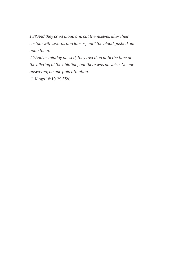*1 28 And they cried aloud and cut themselves after their custom with swords and lances, until the blood gushed out upon them.*

 *29 And as midday passed, they raved on until the time of the offering of the oblation, but there was no voice. No one answered; no one paid attention.*

(1 Kings 18:19-29 ESV)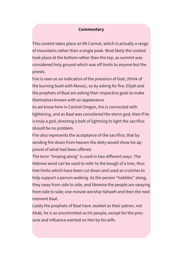#### **Commentary**

This contest takes place on Mt Carmel, which is actually a range of mountains rather than a single peak. Most likely the contest took place at the bottom rather than the top, as summit was considered holy ground which was off limits to anyone but the priests.

Fire is seen as an indication of the presence of God, (think of the burning bush with Moses), so by asking for fire, Elijah and the prophets of Baal are asking their respective gods to make themselves known with an appearance.

As we know here in Central Oregon, fire is connected with lightening, and as Baal was considered the storm god, then if he is truly a god, directing a bolt of lightning to light the sacrifice should be no problem.

Fire also represents the acceptance of the sacrifice, that by sending fire down from heaven the deity would show his approval of what had been offered.

The term "limping along" is used in two different ways. The Hebrew word can be used to refer to the bough of a tree, thus tree limbs which have been cut down and used as crutches to help support a person walking. As the person "hobbles" along, they sway from side to side, and likewise the people are swaying from side to side; one minute worship Yahweh and then the next moment Baal.

Lastly the prophets of Baal have Jezebel as their patron, not Ahab, he is as uncommited as his people, except for the pressure and influence exerted on him by his wife.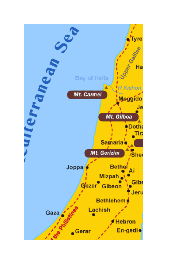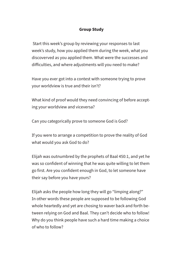## **Group Study**

 Start this week's group by reviewing your responses to last week's study, how you applied them during the week, what you discoverved as you applied them. What were the successes and difficulties, and where adjustments will you need to make?

Have you ever got into a contest with someone trying to prove your worldview is true and their isn't?

What kind of proof would they need convincing of before accepting your worldview and viceversa?

Can you categorically prove to someone God is God?

If you were to arrange a competition to prove the reality of God what would you ask God to do?

Elijah was outnumbred by the prophets of Baal 450:1, and yet he was so confident of winning that he was quite willing to let them go first. Are you confident enough in God, to let someone have their say before you have yours?

Elijah asks the people how long they will go "limping along?" In other words these people are supposed to be following God whole heartedly and yet are chosing to waver back and forth between relying on God and Baal. They can't decide who to follow! Why do you think people have such a hard time making a choice of who to follow?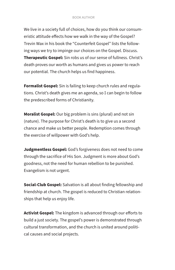#### BOOK AUTHOR

We live in a society full of choices, how do you think our consumeristic attitude effects how we walk in the way of the Gospel? Trevin Wax in his book the "Counterfeit Gospel" lists the following ways we try to impinge our choices on the Gospel. Discuss. **Therapeutic Gospel:** Sin robs us of our sense of fullness. Christ's death proves our worth as humans and gives us power to reach our potential. The church helps us find happiness.

**Formalist Gospel:** Sin is failing to keep church rules and regulations. Christ's death gives me an agenda, so I can begin to follow the predescribed forms of Christianity.

**Moralist Gospel:** Our big problem is sins (plural) and not sin (nature). The purpose for Christ's death is to give us a second chance and make us better people. Redemption comes through the exercise of willpower with God's help.

**Judgmentless Gospel:** God's forgiveness does not need to come through the sacrifice of His Son. Judgment is more about God's goodness, not the need for human rebellion to be punished. Evangelism is not urgent.

**Social-Club Gospel:** Salvation is all about finding fellowship and friendship at church. The gospel is reduced to Christian relationships that help us enjoy life.

**Activist Gospel:** The kingdom is advanced through our efforts to build a just society. The gospel's power is demonstrated through cultural transformation, and the church is united around political causes and social projects.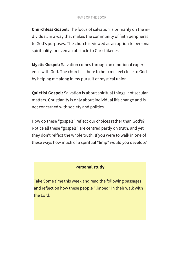**Churchless Gospel:** The focus of salvation is primarily on the individual, in a way that makes the community of faith peripheral to God's purposes. The church is viewed as an option to personal spirituality, or even an obstacle to Christlikeness.

**Mystic Gospel:** Salvation comes through an emotional experience with God. The church is there to help me feel close to God by helping me along in my pursuit of mystical union.

**Quietist Gospel:** Salvation is about spiritual things, not secular matters. Christianity is only about individual life change and is not concerned with society and politics.

How do these "gospels" reflect our choices rather than God's? Notice all these "gospels" are centred partly on truth, and yet they don't relfect the whole truth. If you were to walk in one of these ways how much of a spiritual "limp" would you develop?

#### **Personal study**

Take Some time this week and read the following passages and reflect on how these people "limped" in their walk with the Lord.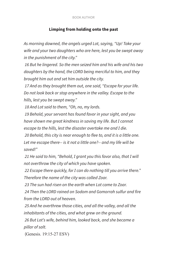#### BOOK AUTHOR

## **Limping from holding onto the past**

*As morning dawned, the angels urged Lot, saying, "Up! Take your wife and your two daughters who are here, lest you be swept away in the punishment of the city."*

 *16 But he lingered. So the men seized him and his wife and his two daughters by the hand, the LORD being merciful to him, and they brought him out and set him outside the city.*

 *17 And as they brought them out, one said, "Escape for your life. Do not look back or stop anywhere in the valley. Escape to the hills, lest you be swept away."*

 *18 And Lot said to them, "Oh, no, my lords.*

 *19 Behold, your servant has found favor in your sight, and you have shown me great kindness in saving my life. But I cannot escape to the hills, lest the disaster overtake me and I die. 20 Behold, this city is near enough to flee to, and it is a little one. Let me escape there-- is it not a little one?-- and my life will be saved!"*

 *21 He said to him, "Behold, I grant you this favor also, that I will not overthrow the city of which you have spoken.*

 *22 Escape there quickly, for I can do nothing till you arrive there." Therefore the name of the city was called Zoar.*

 *23 The sun had risen on the earth when Lot came to Zoar.*

 *24 Then the LORD rained on Sodom and Gomorrah sulfur and fire from the LORD out of heaven.*

 *25 And he overthrew those cities, and all the valley, and all the inhabitants of the cities, and what grew on the ground.*

 *26 But Lot's wife, behind him, looked back, and she became a pillar of salt.*

(Genesis. 19:15-27 ESV)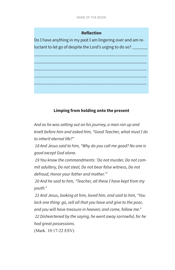#### **Reflection**

Do I have anything in my past I am lingering over and am reluctant to let go of despite the Lord's urging to do so?

\_\_\_\_\_\_\_\_\_\_\_\_\_\_\_\_\_\_\_\_\_\_\_\_\_\_\_\_\_\_\_\_\_\_\_\_\_\_\_\_\_\_\_\_\_\_\_\_\_\_\_ \_\_\_\_\_\_\_\_\_\_\_\_\_\_\_\_\_\_\_\_\_\_\_\_\_\_\_\_\_\_\_\_\_\_\_\_\_\_\_\_\_\_\_\_\_\_\_\_\_\_\_ \_\_\_\_\_\_\_\_\_\_\_\_\_\_\_\_\_\_\_\_\_\_\_\_\_\_\_\_\_\_\_\_\_\_\_\_\_\_\_\_\_\_\_\_\_\_\_\_\_\_\_ \_\_\_\_\_\_\_\_\_\_\_\_\_\_\_\_\_\_\_\_\_\_\_\_\_\_\_\_\_\_\_\_\_\_\_\_\_\_\_\_\_\_\_\_\_\_\_\_\_\_\_ \_\_\_\_\_\_\_\_\_\_\_\_\_\_\_\_\_\_\_\_\_\_\_\_\_\_\_\_\_\_\_\_\_\_\_\_\_\_\_\_\_\_\_\_\_\_\_\_\_\_\_

# **Limping from holding onto the present**

*And as he was setting out on his journey, a man ran up and knelt before him and asked him, "Good Teacher, what must I do to inherit eternal life?"*

 *18 And Jesus said to him, "Why do you call me good? No one is good except God alone.*

 *19 You know the commandments: 'Do not murder, Do not commit adultery, Do not steal, Do not bear false witness, Do not defraud, Honor your father and mother.'"*

 *20 And he said to him, "Teacher, all these I have kept from my youth."*

 *21 And Jesus, looking at him, loved him, and said to him, "You lack one thing: go, sell all that you have and give to the poor, and you will have treasure in heaven; and come, follow me." 22 Disheartened by the saying, he went away sorrowful, for he had great possessions.*  (Mark. 10:17-22 ESV)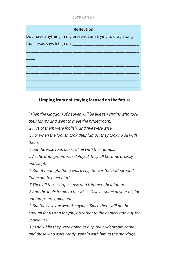#### **Reflection**

Do I have anything in my present I am trying to drag along that Jesus says let go of?

 $\overline{\phantom{a}}$ 

\_\_\_\_\_\_\_\_\_\_\_\_\_\_\_\_\_\_\_\_\_\_\_\_\_\_\_\_\_\_\_\_\_\_\_\_\_\_\_\_\_\_\_\_\_\_\_\_\_\_\_

\_\_\_\_\_\_\_\_\_\_\_\_\_\_\_\_\_\_\_\_\_\_\_\_\_\_\_\_\_\_\_\_\_\_\_\_\_\_\_\_\_\_\_\_\_\_\_\_\_\_\_ \_\_\_\_\_\_\_\_\_\_\_\_\_\_\_\_\_\_\_\_\_\_\_\_\_\_\_\_\_\_\_\_\_\_\_\_\_\_\_\_\_\_\_\_\_\_\_\_\_\_\_ \_\_\_\_\_\_\_\_\_\_\_\_\_\_\_\_\_\_\_\_\_\_\_\_\_\_\_\_\_\_\_\_\_\_\_\_\_\_\_\_\_\_\_\_\_\_\_\_\_\_\_ \_\_\_\_\_\_\_\_\_\_\_\_\_\_\_\_\_\_\_\_\_\_\_\_\_\_\_\_\_\_\_\_\_\_\_\_\_\_\_\_\_\_\_\_\_\_\_\_\_\_\_

## **Limping from not staying focused on the future**

*"Then the kingdom of heaven will be like ten virgins who took their lamps and went to meet the bridegroom.*

 *2 Five of them were foolish, and five were wise.*

 *3 For when the foolish took their lamps, they took no oil with them,*

 *4 but the wise took flasks of oil with their lamps.*

 *5 As the bridegroom was delayed, they all became drowsy and slept.*

 *6 But at midnight there was a cry, 'Here is the bridegroom! Come out to meet him.'*

 *7 Then all those virgins rose and trimmed their lamps. 8 And the foolish said to the wise, 'Give us some of your oil, for our lamps are going out.'*

 *9 But the wise answered, saying, 'Since there will not be enough for us and for you, go rather to the dealers and buy for yourselves.'*

 *10 And while they were going to buy, the bridegroom came, and those who were ready went in with him to the marriage*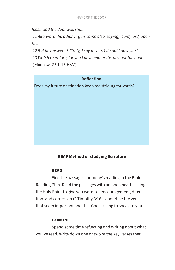*feast, and the door was shut.*

 *11 Afterward the other virgins came also, saying, 'Lord, lord, open to us.'*

 *12 But he answered, 'Truly, I say to you, I do not know you.' 13 Watch therefore, for you know neither the day nor the hour.* (Matthew. 25:1-13 ESV)

# **Reflection**

\_\_\_\_\_\_\_\_\_\_\_\_\_\_\_\_\_\_\_\_\_\_\_\_\_\_\_\_\_\_\_\_\_\_\_\_\_\_\_\_\_\_\_\_\_\_\_\_\_\_\_ \_\_\_\_\_\_\_\_\_\_\_\_\_\_\_\_\_\_\_\_\_\_\_\_\_\_\_\_\_\_\_\_\_\_\_\_\_\_\_\_\_\_\_\_\_\_\_\_\_\_\_ \_\_\_\_\_\_\_\_\_\_\_\_\_\_\_\_\_\_\_\_\_\_\_\_\_\_\_\_\_\_\_\_\_\_\_\_\_\_\_\_\_\_\_\_\_\_\_\_\_\_\_ \_\_\_\_\_\_\_\_\_\_\_\_\_\_\_\_\_\_\_\_\_\_\_\_\_\_\_\_\_\_\_\_\_\_\_\_\_\_\_\_\_\_\_\_\_\_\_\_\_\_\_ \_\_\_\_\_\_\_\_\_\_\_\_\_\_\_\_\_\_\_\_\_\_\_\_\_\_\_\_\_\_\_\_\_\_\_\_\_\_\_\_\_\_\_\_\_\_\_\_\_\_\_ \_\_\_\_\_\_\_\_\_\_\_\_\_\_\_\_\_\_\_\_\_\_\_\_\_\_\_\_\_\_\_\_\_\_\_\_\_\_\_\_\_\_\_\_\_\_\_\_\_\_\_

Does my future destination keep me striding forwards?

# **REAP Method of studying Scripture**

#### **READ**

Find the passages for today's reading in the Bible Reading Plan. Read the passages with an open heart, asking the Holy Spirit to give you words of encouragement, direction, and correction (2 Timothy 3:16). Underline the verses that seem important and that God is using to speak to you.

#### **EXAMINE**

Spend some time reflecting and writing about what you've read. Write down one or two of the key verses that